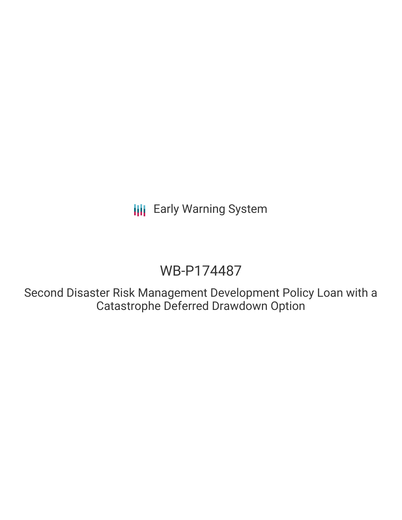**III** Early Warning System

## WB-P174487

Second Disaster Risk Management Development Policy Loan with a Catastrophe Deferred Drawdown Option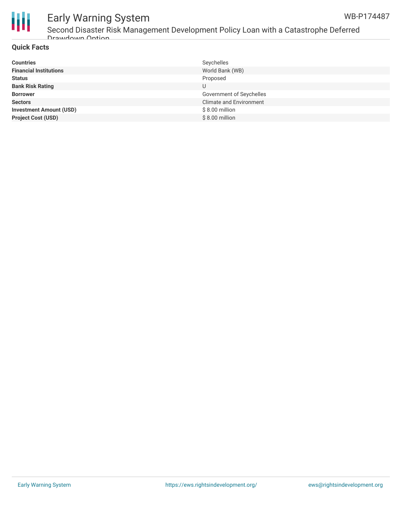



### Early Warning System Second Disaster Risk Management Development Policy Loan with a Catastrophe Deferred Drawdown Option

#### **Quick Facts**

| <b>Countries</b>               | Seychelles                     |
|--------------------------------|--------------------------------|
| <b>Financial Institutions</b>  | World Bank (WB)                |
| <b>Status</b>                  | Proposed                       |
| <b>Bank Risk Rating</b>        |                                |
| <b>Borrower</b>                | Government of Seychelles       |
| <b>Sectors</b>                 | <b>Climate and Environment</b> |
| <b>Investment Amount (USD)</b> | $$8.00$ million                |
| <b>Project Cost (USD)</b>      | \$8.00 million                 |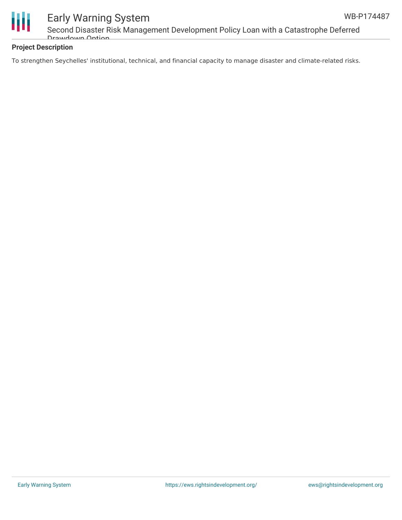

# Early Warning System

Second Disaster Risk Management Development Policy Loan with a Catastrophe Deferred Drawdown Option

### **Project Description**

To strengthen Seychelles' institutional, technical, and financial capacity to manage disaster and climate-related risks.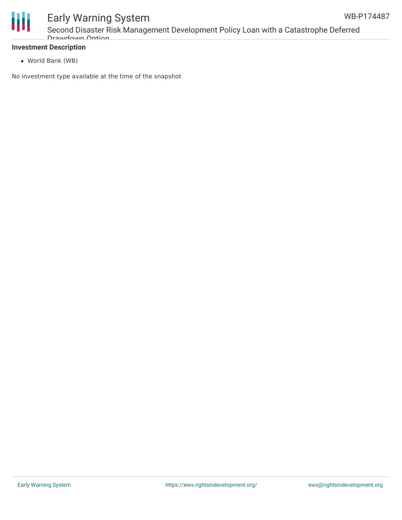

#### **Investment Description**

World Bank (WB)

No investment type available at the time of the snapshot